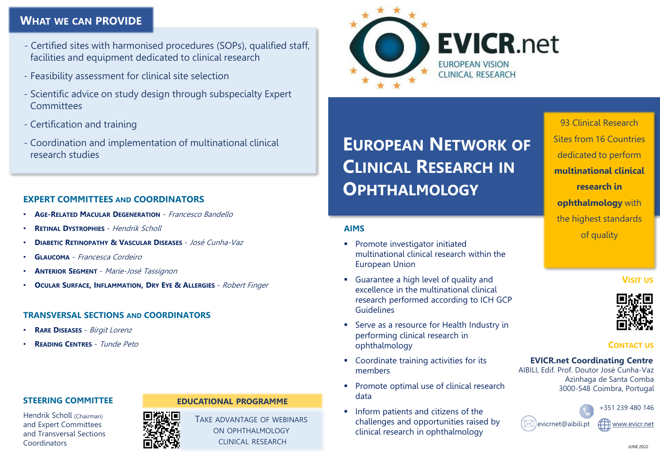## **WHAT WE CAN PROVIDE**

- Certified sites with harmonised procedures (SOPs), qualified staff, facilities and equipment dedicated to clinical research
- Feasibility assessment for clinical site selection
- Scientific advice on study design through subspecialty Expert **Committees**
- Certification and training
- Coordination and implementation of multinational clinical research studies

## **EXPERT COMMITTEES AND COORDINATORS**

- **AGE-RELATED MACULAR DEGENERATION** Francesco Bandello
- **RETINAL DYSTROPHIES** Hendrik Scholl
- **DIABETIC RETINOPATHY & VASCULAR DISEASES** José Cunha-Vaz
- **GLAUCOMA** Francesca Cordeiro
- **ANTERIOR SEGMENT** Marie-José Tassignon
- **OCULAR SURFACE, INFLAMMATION, DRY EYE & ALLERGIES** Robert Finger

## **TRANSVERSAL SECTIONS AND COORDINATORS**

- **RARE DISEASES** Birgit Lorenz
- **READING CENTRES** Tunde Peto

## **STEERING COMMITTEE**

Hendrik Scholl (Chairman) and Expert Committees and Transversal Sections Coordinators

## **EDUCATIONAL PROGRAMME**

TAKE ADVANTAGE OF WEBINARS ON OPHTHALMOLOGY CLINICAL RESEARCH



**EUROPEAN NETWORK OF CLINICAL RESEARCH IN OPHTHALMOLOGY**

## **AIMS**

- **•** Promote investigator initiated multinational clinical research within the European Union
- Guarantee a high level of quality and excellence in the multinational clinical research performed according to ICH GCP **Guidelines**
- Serve as a resource for Health Industry in performing clinical research in ophthalmology
- Coordinate training activities for its members
- Promote optimal use of clinical research data
- **·** Inform patients and citizens of the challenges and opportunities raised by clinical research in ophthalmology

93 Clinical Research Sites from 16 Countries dedicated to perform **multinational clinical research in ophthalmology** with the highest standards of quality

## **VISIT US**



## **CONTACT US**

## **EVICR.net Coordinating Centre**

AIBILI, Edif. Prof. Doutor José Cunha-Vaz Azinhaga de Santa Comba 3000-548 Coimbra, Portugal